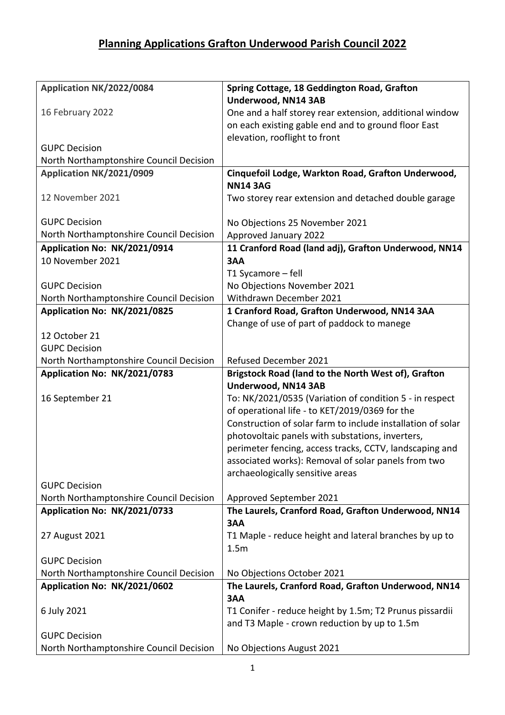## **Planning Applications Grafton Underwood Parish Council 2022**

| Application NK/2022/0084                                        | Spring Cottage, 18 Geddington Road, Grafton                                                                    |
|-----------------------------------------------------------------|----------------------------------------------------------------------------------------------------------------|
|                                                                 | Underwood, NN14 3AB                                                                                            |
| 16 February 2022                                                | One and a half storey rear extension, additional window                                                        |
|                                                                 | on each existing gable end and to ground floor East                                                            |
|                                                                 | elevation, rooflight to front                                                                                  |
| <b>GUPC Decision</b>                                            |                                                                                                                |
| North Northamptonshire Council Decision                         |                                                                                                                |
| Application NK/2021/0909                                        | Cinquefoil Lodge, Warkton Road, Grafton Underwood,                                                             |
|                                                                 | <b>NN14 3AG</b>                                                                                                |
| 12 November 2021                                                | Two storey rear extension and detached double garage                                                           |
| <b>GUPC Decision</b>                                            |                                                                                                                |
| North Northamptonshire Council Decision                         | No Objections 25 November 2021                                                                                 |
|                                                                 | Approved January 2022                                                                                          |
| Application No: NK/2021/0914<br>10 November 2021                | 11 Cranford Road (land adj), Grafton Underwood, NN14                                                           |
|                                                                 | 3AA                                                                                                            |
| <b>GUPC Decision</b>                                            | T1 Sycamore - fell                                                                                             |
| North Northamptonshire Council Decision                         | No Objections November 2021<br>Withdrawn December 2021                                                         |
| Application No: NK/2021/0825                                    | 1 Cranford Road, Grafton Underwood, NN14 3AA                                                                   |
|                                                                 | Change of use of part of paddock to manege                                                                     |
| 12 October 21                                                   |                                                                                                                |
| <b>GUPC Decision</b>                                            |                                                                                                                |
| North Northamptonshire Council Decision                         | <b>Refused December 2021</b>                                                                                   |
|                                                                 |                                                                                                                |
|                                                                 |                                                                                                                |
| Application No: NK/2021/0783                                    | Brigstock Road (land to the North West of), Grafton                                                            |
|                                                                 | Underwood, NN14 3AB                                                                                            |
| 16 September 21                                                 | To: NK/2021/0535 (Variation of condition 5 - in respect                                                        |
|                                                                 | of operational life - to KET/2019/0369 for the<br>Construction of solar farm to include installation of solar  |
|                                                                 |                                                                                                                |
|                                                                 | photovoltaic panels with substations, inverters,                                                               |
|                                                                 | perimeter fencing, access tracks, CCTV, landscaping and<br>associated works): Removal of solar panels from two |
|                                                                 | archaeologically sensitive areas                                                                               |
| <b>GUPC Decision</b>                                            |                                                                                                                |
| North Northamptonshire Council Decision                         | Approved September 2021                                                                                        |
| Application No: NK/2021/0733                                    | The Laurels, Cranford Road, Grafton Underwood, NN14                                                            |
|                                                                 | 3AA                                                                                                            |
| 27 August 2021                                                  | T1 Maple - reduce height and lateral branches by up to                                                         |
|                                                                 | 1.5m                                                                                                           |
| <b>GUPC Decision</b>                                            |                                                                                                                |
| North Northamptonshire Council Decision                         | No Objections October 2021                                                                                     |
| Application No: NK/2021/0602                                    | The Laurels, Cranford Road, Grafton Underwood, NN14                                                            |
|                                                                 | 3AA                                                                                                            |
| 6 July 2021                                                     | T1 Conifer - reduce height by 1.5m; T2 Prunus pissardii                                                        |
|                                                                 | and T3 Maple - crown reduction by up to 1.5m                                                                   |
| <b>GUPC Decision</b><br>North Northamptonshire Council Decision | No Objections August 2021                                                                                      |